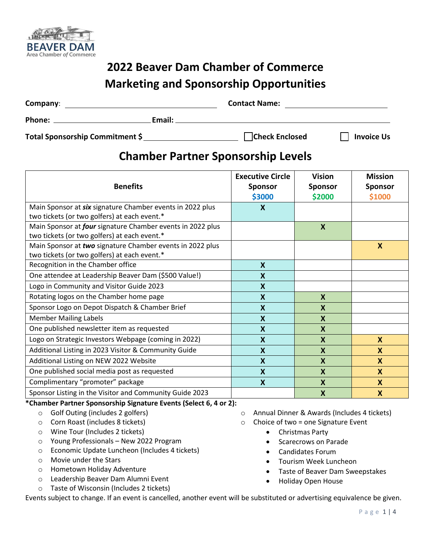

## **2022 Beaver Dam Chamber of Commerce Marketing and Sponsorship Opportunities**

| Company:                        | <b>Contact Name:</b>  |                   |  |  |  |
|---------------------------------|-----------------------|-------------------|--|--|--|
| Phone:<br>Email:                |                       |                   |  |  |  |
| Total Sponsorship Commitment \$ | <b>Check Enclosed</b> | <b>Invoice Us</b> |  |  |  |

## **Chamber Partner Sponsorship Levels**

| <b>Benefits</b>                                                                                                   | <b>Executive Circle</b><br><b>Sponsor</b><br>\$3000 | <b>Vision</b><br><b>Sponsor</b><br>\$2000 | <b>Mission</b><br><b>Sponsor</b><br>\$1000 |
|-------------------------------------------------------------------------------------------------------------------|-----------------------------------------------------|-------------------------------------------|--------------------------------------------|
| Main Sponsor at six signature Chamber events in 2022 plus<br>two tickets (or two golfers) at each event.*         | X                                                   |                                           |                                            |
| Main Sponsor at <i>four</i> signature Chamber events in 2022 plus<br>two tickets (or two golfers) at each event.* |                                                     | X                                         |                                            |
| Main Sponsor at two signature Chamber events in 2022 plus<br>two tickets (or two golfers) at each event.*         |                                                     |                                           | $\boldsymbol{\mathsf{x}}$                  |
| Recognition in the Chamber office                                                                                 | $\boldsymbol{\mathsf{X}}$                           |                                           |                                            |
| One attendee at Leadership Beaver Dam (\$500 Value!)                                                              | X                                                   |                                           |                                            |
| Logo in Community and Visitor Guide 2023                                                                          | $\boldsymbol{\mathsf{X}}$                           |                                           |                                            |
| Rotating logos on the Chamber home page                                                                           | $\boldsymbol{\mathsf{X}}$                           | X                                         |                                            |
| Sponsor Logo on Depot Dispatch & Chamber Brief                                                                    | $\boldsymbol{\mathsf{X}}$                           | $\boldsymbol{X}$                          |                                            |
| <b>Member Mailing Labels</b>                                                                                      | $\boldsymbol{\mathsf{X}}$                           | $\mathbf x$                               |                                            |
| One published newsletter item as requested                                                                        | X                                                   | $\mathbf{x}$                              |                                            |
| Logo on Strategic Investors Webpage (coming in 2022)                                                              | $\boldsymbol{\mathsf{X}}$                           | $\boldsymbol{X}$                          | X                                          |
| Additional Listing in 2023 Visitor & Community Guide                                                              | $\boldsymbol{\mathsf{X}}$                           | $\boldsymbol{X}$                          | $\mathbf{x}$                               |
| Additional Listing on NEW 2022 Website                                                                            | $\boldsymbol{\mathsf{X}}$                           | $\boldsymbol{X}$                          | X                                          |
| One published social media post as requested                                                                      | $\boldsymbol{\mathsf{X}}$                           | $\boldsymbol{X}$                          | X                                          |
| Complimentary "promoter" package                                                                                  | X                                                   | X                                         | $\mathbf{x}$                               |
| Sponsor Listing in the Visitor and Community Guide 2023                                                           |                                                     | $\boldsymbol{\mathsf{x}}$                 | $\boldsymbol{X}$                           |

**\*Chamber Partner Sponsorship Signature Events (Select 6, 4 or 2):** 

- o Golf Outing (includes 2 golfers)
- o Corn Roast (includes 8 tickets)
- o Wine Tour (Includes 2 tickets)
- o Young Professionals New 2022 Program
- o Economic Update Luncheon (Includes 4 tickets)
- o Movie under the Stars
- o Hometown Holiday Adventure
- o Leadership Beaver Dam Alumni Event
- o Taste of Wisconsin (Includes 2 tickets)
- o Annual Dinner & Awards (Includes 4 tickets)
- $\circ$  Choice of two = one Signature Event
	- Christmas Party
	- Scarecrows on Parade
	- Candidates Forum
	- Tourism Week Luncheon
	- Taste of Beaver Dam Sweepstakes
	- Holiday Open House

Events subject to change. If an event is cancelled, another event will be substituted or advertising equivalence be given.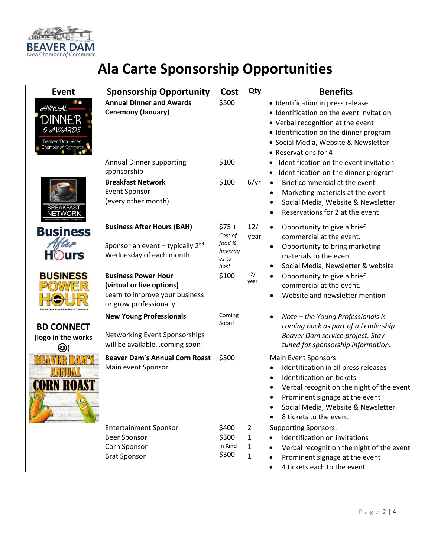

## **Ala Carte Sponsorship Opportunities**

| <b>Event</b>                                                                                        | <b>Sponsorship Opportunity</b>                                                                                       | Cost                                                    | Qty                                                 | <b>Benefits</b>                                                                                                                                                                                                                                                    |
|-----------------------------------------------------------------------------------------------------|----------------------------------------------------------------------------------------------------------------------|---------------------------------------------------------|-----------------------------------------------------|--------------------------------------------------------------------------------------------------------------------------------------------------------------------------------------------------------------------------------------------------------------------|
| <br><b>ANNUAL</b><br>DINNER<br><b><i>&amp; AWARDS</i></b><br>Beaver Dam Area<br>Chamber of Commerce | <b>Annual Dinner and Awards</b><br>Ceremony (January)                                                                | \$500                                                   |                                                     | · Identification in press release<br>· Identification on the event invitation<br>• Verbal recognition at the event<br>• Identification on the dinner program<br>· Social Media, Website & Newsletter<br>• Reservations for 4                                       |
|                                                                                                     | <b>Annual Dinner supporting</b><br>sponsorship                                                                       | \$100                                                   |                                                     | Identification on the event invitation<br>$\bullet$<br>Identification on the dinner program<br>$\bullet$                                                                                                                                                           |
| BREAKFAS1<br>NETWORK                                                                                | <b>Breakfast Network</b><br><b>Event Sponsor</b><br>(every other month)                                              | \$100                                                   | 6/yr                                                | Brief commercial at the event<br>$\bullet$<br>Marketing materials at the event<br>$\bullet$<br>Social Media, Website & Newsletter<br>$\bullet$<br>Reservations for 2 at the event                                                                                  |
| <b>Business</b><br><b>H</b> Ours                                                                    | <b>Business After Hours (BAH)</b><br>Sponsor an event $-$ typically 2 <sup>nd</sup><br>Wednesday of each month       | $$75+$<br>Cost of<br>food &<br>beverag<br>es to<br>host | 12/<br>year                                         | Opportunity to give a brief<br>$\bullet$<br>commercial at the event.<br>Opportunity to bring marketing<br>$\bullet$<br>materials to the event<br>Social Media, Newsletter & website<br>$\bullet$                                                                   |
| <b>BUSINESS</b><br><b>Beaver Dam Area Chamber of Cor</b>                                            | <b>Business Power Hour</b><br>(virtual or live options)<br>Learn to improve your business<br>or grow professionally. | \$100                                                   | 12/<br>year                                         | Opportunity to give a brief<br>$\bullet$<br>commercial at the event.<br>Website and newsletter mention                                                                                                                                                             |
| <b>BD CONNECT</b><br>(logo in the works<br>(၁)                                                      | <b>New Young Professionals</b><br>Networking Event Sponsorships<br>will be availablecoming soon!                     | Coming<br>Soon!                                         |                                                     | Note - the Young Professionals is<br>$\bullet$<br>coming back as part of a Leadership<br>Beaver Dam service project. Stay<br>tuned for sponsorship information.                                                                                                    |
| $\mathbb{I}$<br><b>CORN ROAST</b>                                                                   | <b>Beaver Dam's Annual Corn Roast</b><br>Main event Sponsor                                                          | \$500                                                   |                                                     | Main Event Sponsors:<br>Identification in all press releases<br>Identification on tickets<br>$\bullet$<br>Verbal recognition the night of the event<br>Prominent signage at the event<br>Social Media, Website & Newsletter<br>$\bullet$<br>8 tickets to the event |
|                                                                                                     | <b>Entertainment Sponsor</b><br>Beer Sponsor<br>Corn Sponsor<br><b>Brat Sponsor</b>                                  | \$400<br>\$300<br>In Kind<br>\$300                      | $\overline{2}$<br>$\mathbf{1}$<br>1<br>$\mathbf{1}$ | <b>Supporting Sponsors:</b><br>Identification on invitations<br>$\bullet$<br>Verbal recognition the night of the event<br>Prominent signage at the event<br>4 tickets each to the event                                                                            |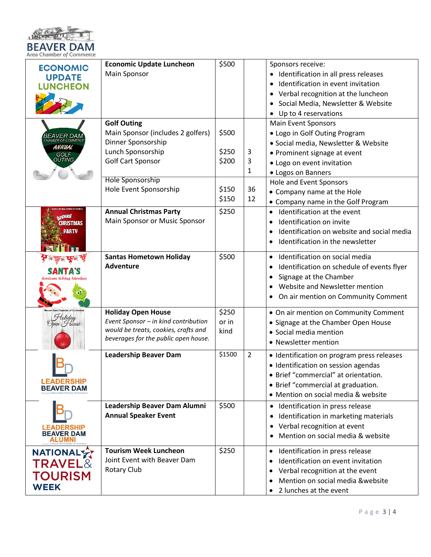

| <b>ECONOMIC</b><br><b>UPDATE</b><br><b>UNCHEON</b>                      | <b>Economic Update Luncheon</b><br>Main Sponsor                                                                                                                                     | \$500                                     |                         | Sponsors receive:<br>Identification in all press releases<br>Identification in event invitation<br>Verbal recognition at the luncheon<br>Social Media, Newsletter & Website<br>Up to 4 reservations                                                     |
|-------------------------------------------------------------------------|-------------------------------------------------------------------------------------------------------------------------------------------------------------------------------------|-------------------------------------------|-------------------------|---------------------------------------------------------------------------------------------------------------------------------------------------------------------------------------------------------------------------------------------------------|
| <i>BEAVER DAM</i><br><b>JBER OF COMMERC</b><br>ANNUAL<br>GOLF<br>OUTING | <b>Golf Outing</b><br>Main Sponsor (includes 2 golfers)<br>Dinner Sponsorship<br>Lunch Sponsorship<br><b>Golf Cart Sponsor</b><br><b>Hole Sponsorship</b><br>Hole Event Sponsorship | \$500<br>\$250<br>\$200<br>\$150<br>\$150 | 3<br>3<br>1<br>36<br>12 | <b>Main Event Sponsors</b><br>• Logo in Golf Outing Program<br>· Social media, Newsletter & Website<br>• Prominent signage at event<br>· Logo on event invitation<br>• Logos on Banners<br><b>Hole and Event Sponsors</b><br>• Company name at the Hole |
| Purna<br><b>CHRISTMAS</b><br>PARTY                                      | <b>Annual Christmas Party</b><br>Main Sponsor or Music Sponsor                                                                                                                      | \$250                                     |                         | • Company name in the Golf Program<br>Identification at the event<br>$\bullet$<br>Identification on invite<br>$\bullet$<br>Identification on website and social media<br>٠<br>Identification in the newsletter<br>$\bullet$                             |
|                                                                         | <b>Santas Hometown Holiday</b><br><b>Adventure</b>                                                                                                                                  | \$500                                     |                         | Identification on social media<br>$\bullet$<br>Identification on schedule of events flyer<br>$\bullet$<br>Signage at the Chamber<br>$\bullet$<br>Website and Newsletter mention<br>$\bullet$<br>On air mention on Community Comment                     |
| Holiday<br>Ypen (House                                                  | <b>Holiday Open House</b><br>Event Sponsor - in kind contribution<br>would be treats, cookies, crafts and<br>beverages for the public open house.                                   | \$250<br>or in<br>kind                    |                         | • On air mention on Community Comment<br>• Signage at the Chamber Open House<br>• Social media mention<br>• Newsletter mention                                                                                                                          |
| <b>Contract Contract</b><br><b>LEADERSHIP</b><br><b>BEAVER DAM</b>      | <b>Leadership Beaver Dam</b>                                                                                                                                                        | \$1500                                    | $\overline{2}$          | · Identification on program press releases<br>• Identification on session agendas<br>• Brief "commercial" at orientation.<br>• Brief "commercial at graduation.<br>• Mention on social media & website                                                  |
| <b>LEADERSHIP</b><br><b>BEAVER DAM</b><br>ALUMNI                        | Leadership Beaver Dam Alumni<br><b>Annual Speaker Event</b>                                                                                                                         | \$500                                     |                         | Identification in press release<br>Identification in marketing materials<br>$\bullet$<br>Verbal recognition at event<br>$\bullet$<br>Mention on social media & website                                                                                  |
| NATIONALY<br><b>TRAVEL&amp;</b><br><b>TOURISM</b><br><b>WEEK</b>        | <b>Tourism Week Luncheon</b><br>Joint Event with Beaver Dam<br>Rotary Club                                                                                                          | \$250                                     |                         | Identification in press release<br>$\bullet$<br>Identification on event invitation<br>$\bullet$<br>Verbal recognition at the event<br>٠<br>Mention on social media &website<br>$\bullet$<br>2 lunches at the event<br>$\bullet$                         |